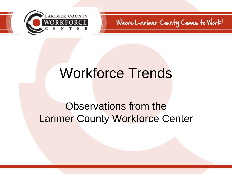

## Workforce Trends

### Observations from the Larimer County Workforce Center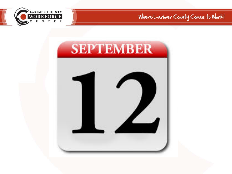

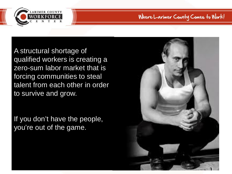

A structural shortage of qualified workers is creating a zero-sum labor market that is forcing communities to steal talent from each other in order to survive and grow.

If you don't have the people, you're out of the game.

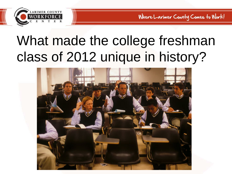

## What made the college freshman class of 2012 unique in history?

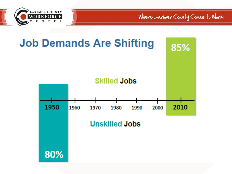

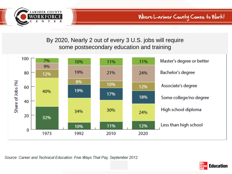

#### By 2020, Nearly 2 out of every 3 U.S. jobs will require some postsecondary education and training



Source: Career and Technical Education: Five Ways That Pay, September 2012

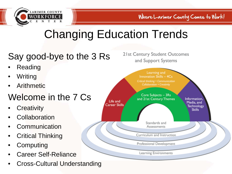

## Changing Education Trends

### Say good-bye to the 3 Rs

- **Reading**
- Writing
- **Arithmetic**

### Welcome in the 7 Cs

- **Creativity**
- **Collaboration**
- **Communication**
- Critical Thinking
- **Computing**
- Career Self-Reliance
- Cross-Cultural Understanding

21st Century Student Outcomes and Support Systems

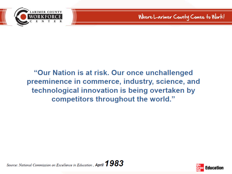

#### "Our Nation is at risk. Our once unchallenged preeminence in commerce, industry, science, and technological innovation is being overtaken by competitors throughout the world."

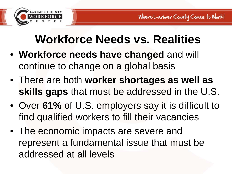

### **Workforce Needs vs. Realities**

- **Workforce needs have changed** and will continue to change on a global basis
- There are both **worker shortages as well as skills gaps** that must be addressed in the U.S.
- Over **61%** of U.S. employers say it is difficult to find qualified workers to fill their vacancies
- The economic impacts are severe and represent a fundamental issue that must be addressed at all levels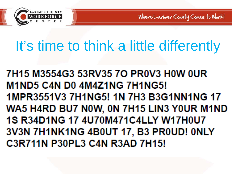

## It's time to think a little differently

7H15 M3554G3 53RV35 7O PR0V3 H0W 0UR **M1ND5 C4N D0 4M4Z1NG 7H1NG5!** 1MPR3551V3 7H1NG5! 1N 7H3 B3G1NN1NG 17 WA5 H4RD BU7 N0W, 0N 7H15 LIN3 Y0UR M1ND **1S R34D1NG 17 4U70M471C4LLY W17H0U7** 3V3N 7H1NK1NG 4B0UT 17, B3 PR0UD! ONLY C3R711N P30PL3 C4N R3AD 7H15!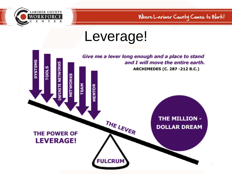

### Leverage!

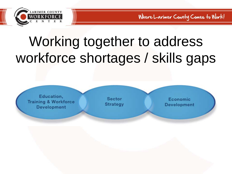

## Working together to address workforce shortages / skills gaps

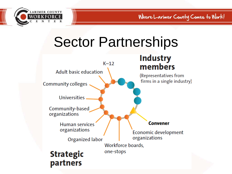

## **Sector Partnerships**

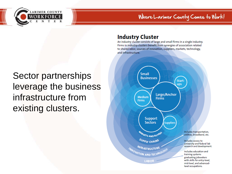

#### **Industry Cluster**

An industry cluster consists of large and small firms in a single industry. Firms in industry clusters benefit from synergies of association related to shared labor, sources of innovation, suppliers, markets, technology, and infrastructure.

Sector partnerships leverage the business infrastructure from existing clusters.

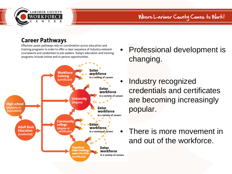

#### **Career Pathways**

Effective career pathways rely on coordination across education and training programs in order to offer a clear sequence of industry-relevant coursework and credentials to job seekers. Today's education and training programs include online and in-person opportunities.



- Professional development is changing.
	- Industry recognized credentials and certificates are becoming increasingly popular.
- There is more movement in and out of the workforce.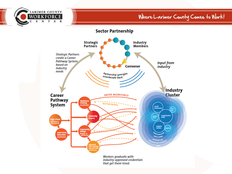

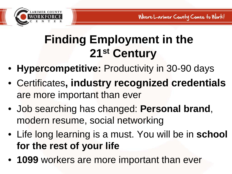

## **Finding Employment in the 21st Century**

- **Hypercompetitive:** Productivity in 30-90 days
- Certificates**, industry recognized credentials**  are more important than ever
- Job searching has changed: **Personal brand**, modern resume, social networking
- Life long learning is a must. You will be in **school for the rest of your life**
- **1099** workers are more important than ever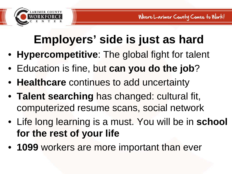

## **Employers' side is just as hard**

- **Hypercompetitive**: The global fight for talent
- Education is fine, but **can you do the job**?
- **Healthcare** continues to add uncertainty
- **Talent searching** has changed: cultural fit, computerized resume scans, social network
- Life long learning is a must. You will be in **school for the rest of your life**
- **1099** workers are more important than ever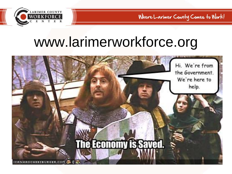

## www.larimerworkforce.org

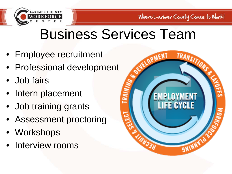

## Business Services Team

- Employee recruitment
- Professional development
- Job fairs
- Intern placement
- Job training grants
- Assessment proctoring
- Workshops
- Interview rooms

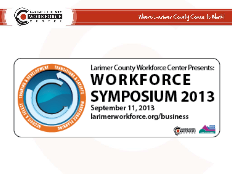

## Larimer County Workforce Center Presents: WORKFORCE **SYMPOSIUM 2013**

September 11, 2013 larimerworkforce.org/business